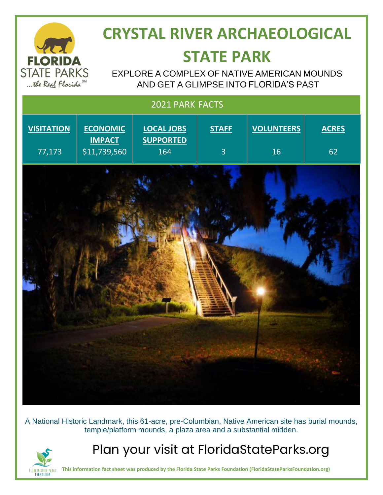

## **CRYSTAL RIVER ARCHAEOLOGICAL STATE PARK**

EXPLORE A COMPLEX OF NATIVE AMERICAN MOUNDS AND GET A GLIMPSE INTO FLORIDA'S PAST

| 2021 PARK FACTS   |                                  |                                       |                |                   |              |
|-------------------|----------------------------------|---------------------------------------|----------------|-------------------|--------------|
| <b>VISITATION</b> | <b>ECONOMIC</b><br><b>IMPACT</b> | <b>LOCAL JOBS</b><br><b>SUPPORTED</b> | <b>STAFF</b>   | <b>VOLUNTEERS</b> | <b>ACRES</b> |
| 77,173            | \$11,739,560                     | 164                                   | $\overline{3}$ | 16                | 62           |
|                   |                                  |                                       |                |                   |              |

A National Historic Landmark, this 61-acre, pre-Columbian, Native American site has burial mounds, temple/platform mounds, a plaza area and a substantial midden.



Plan your visit at FloridaStateParks.org

**This information fact sheet was produced by the Florida State Parks Foundation (FloridaStateParksFoundation.org)**